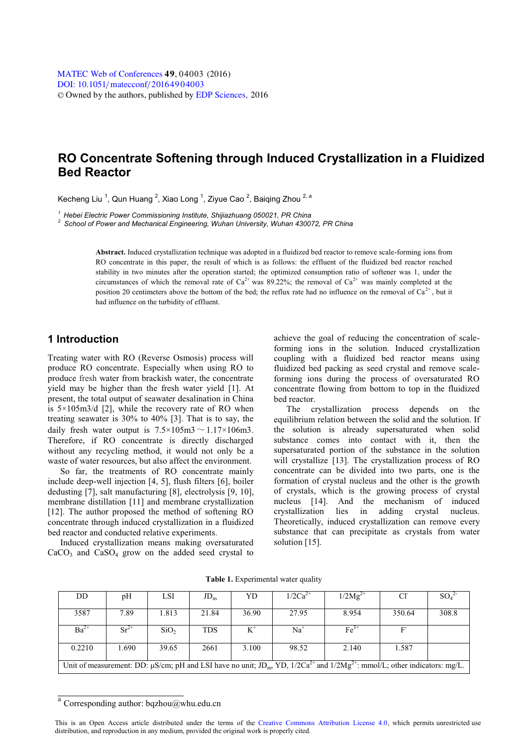# **RO Concentrate Softening through Induced Crystallization in a Fluidized Bed Reactor**

Kecheng Liu <sup>-</sup>, Qun Huang <sup>-</sup>, Xiao Long <sup>-</sup>, Ziyue Cao <sup>-</sup>, Baiqing Zhou <sup>-, -</sup>

*<sup>1</sup> Hebei Electric Power Commissioning Institute, Shijiazhuang 050021, PR China <sup>2</sup> School of Power and Mechanical Engineering, Wuhan University, Wuhan 430072, PR China*

**Abstract.** Induced crystallization technique was adopted in a fluidized bed reactor to remove scale-forming ions from RO concentrate in this paper, the result of which is as follows: the effluent of the fluidized bed reactor reached stability in two minutes after the operation started; the optimized consumption ratio of softener was 1, under the circumstances of which the removal rate of Ca<sup>2+</sup> was 89.22%; the removal of Ca<sup>2+</sup> was mainly completed at the position 20 centimeters above the bottom of the bed; the reflux rate had no influence on the removal of  $Ca^{2+}$ , but it had influence on the turbidity of effluent.

### **1 Introduction**

Treating water with RO (Reverse Osmosis) process will produce RO concentrate. Especially when using RO to produce fresh water from brackish water, the concentrate yield may be higher than the fresh water yield [1]. At present, the total output of seawater desalination in China is  $5 \times 105 \text{ m}$ 3/d [2], while the recovery rate of RO when treating seawater is 30% to 40% [3]. That is to say, the daily fresh water output is  $7.5 \times 105 \text{ m}^3 \sim 1.17 \times 106 \text{ m}^3$ . Therefore, if RO concentrate is directly discharged without any recycling method, it would not only be a waste of water resources, but also affect the environment.

So far, the treatments of RO concentrate mainly include deep-well injection [4, 5], flush filters [6], boiler dedusting [7], salt manufacturing [8], electrolysis [9, 10], membrane distillation [11] and membrane crystallization [12]. The author proposed the method of softening RO concentrate through induced crystallization in a fluidized bed reactor and conducted relative experiments.

Induced crystallization means making oversaturated  $CaCO<sub>3</sub>$  and  $CaSO<sub>4</sub>$  grow on the added seed crystal to

achieve the goal of reducing the concentration of scaleforming ions in the solution. Induced crystallization coupling with a fluidized bed reactor means using fluidized bed packing as seed crystal and remove scaleforming ions during the process of oversaturated RO concentrate flowing from bottom to top in the fluidized bed reactor.

The crystallization process depends on the equilibrium relation between the solid and the solution. If the solution is already supersaturated when solid substance comes into contact with it, then the supersaturated portion of the substance in the solution will crystallize [13]. The crystallization process of RO concentrate can be divided into two parts, one is the formation of crystal nucleus and the other is the growth of crystals, which is the growing process of crystal nucleus [14]. And the mechanism of induced crystallization lies in adding crystal nucleus. Theoretically, induced crystallization can remove every substance that can precipitate as crystals from water solution [15].

| DD                                                                                                                                         | pH        | LSI              | $JD_{m}$   | YD    | $1/2Ca^{2+}$ | $1/2Mg^{2+}$     | C <sub>1</sub> | $SO_4$ |
|--------------------------------------------------------------------------------------------------------------------------------------------|-----------|------------------|------------|-------|--------------|------------------|----------------|--------|
| 3587                                                                                                                                       | 7.89      | 1.813            | 21.84      | 36.90 | 27.95        | 8.954            | 350.64         | 308.8  |
| $Ba^{2+}$                                                                                                                                  | $Sr^{2+}$ | SiO <sub>2</sub> | <b>TDS</b> |       | Na†          | Fe <sup>37</sup> | Е.             |        |
| 0.2210                                                                                                                                     | 1.690     | 39.65            | 2661       | 3.100 | 98.52        | 2.140            | 1.587          |        |
| Unit of measurement: DD: $\mu$ S/cm; pH and LSI have no unit; $JD_m$ , YD, $1/2Ca^{2+}$ and $1/2Mg^{2+}$ : mmol/L; other indicators: mg/L. |           |                  |            |       |              |                  |                |        |

**Table 1.** Experimental water quality

<sup>a</sup> Corresponding author: bqzhou@whu.edu.cn

This is an Open Access article distributed under the terms of the [Creative Commons Attribution License 4.0](http://creativecommons.org/licenses/by/4.0), which permits unrestricted use distribution, and reproduction in any medium, provided the original work is properly cited.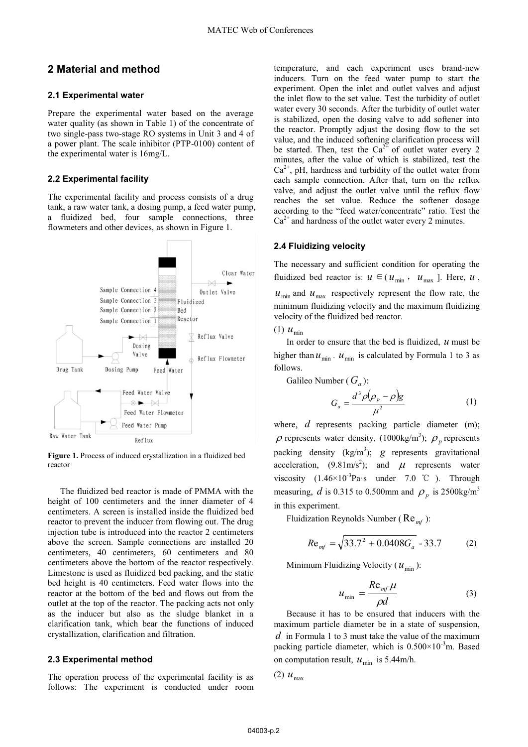## **2 Material and method**

#### **2.1 Experimental water**

Prepare the experimental water based on the average water quality (as shown in Table 1) of the concentrate of two single-pass two-stage RO systems in Unit 3 and 4 of a power plant. The scale inhibitor (PTP-0100) content of the experimental water is 16mg/L.

#### **2.2 Experimental facility**

The experimental facility and process consists of a drug tank, a raw water tank, a dosing pump, a feed water pump, a fluidized bed, four sample connections, three flowmeters and other devices, as shown in Figure 1.



**Figure 1.** Process of induced crystallization in a fluidized bed reactor

The fluidized bed reactor is made of PMMA with the height of 100 centimeters and the inner diameter of 4 centimeters. A screen is installed inside the fluidized bed reactor to prevent the inducer from flowing out. The drug injection tube is introduced into the reactor 2 centimeters above the screen. Sample connections are installed 20 centimeters, 40 centimeters, 60 centimeters and 80 centimeters above the bottom of the reactor respectively. Limestone is used as fluidized bed packing, and the static bed height is 40 centimeters. Feed water flows into the reactor at the bottom of the bed and flows out from the outlet at the top of the reactor. The packing acts not only as the inducer but also as the sludge blanket in a clarification tank, which bear the functions of induced crystallization, clarification and filtration.

#### **2.3 Experimental method**

The operation process of the experimental facility is as follows: The experiment is conducted under room

temperature, and each experiment uses brand-new inducers. Turn on the feed water pump to start the experiment. Open the inlet and outlet valves and adjust the inlet flow to the set value. Test the turbidity of outlet water every 30 seconds. After the turbidity of outlet water is stabilized, open the dosing valve to add softener into the reactor. Promptly adjust the dosing flow to the set value, and the induced softening clarification process will be started. Then, test the  $Ca^{2+}$  of outlet water every 2 minutes, after the value of which is stabilized, test the  $Ca<sup>2+</sup>$ , pH, hardness and turbidity of the outlet water from each sample connection. After that, turn on the reflux valve, and adjust the outlet valve until the reflux flow reaches the set value. Reduce the softener dosage according to the "feed water/concentrate" ratio. Test the  $Ca^{2+}$  and hardness of the outlet water every 2 minutes.

### **2.4 Fluidizing velocity**

The necessary and sufficient condition for operating the fluidized bed reactor is:  $u \in (u_{\min}, u_{\max})$ . Here,  $u$ ,  $u_{\text{min}}$  and  $u_{\text{max}}$  respectively represent the flow rate, the minimum fluidizing velocity and the maximum fluidizing velocity of the fluidized bed reactor.

#### $(1)$   $u_{\min}$

In order to ensure that the bed is fluidized, *u* must be higher than  $u_{\min}$ .  $u_{\min}$  is calculated by Formula 1 to 3 as follows.

Galileo Number ( $G_a$ ):

$$
G_a = \frac{d^3 \rho (\rho_p - \rho) g}{\mu^2} \tag{1}
$$

where, *d* represents packing particle diameter (m);  $\rho$  represents water density, (1000kg/m<sup>3</sup>);  $\rho_p$  represents packing density  $(kg/m^3)$ ; *g* represents gravitational acceleration,  $(9.81 \text{m/s}^2)$ ; and  $\mu$  represents water viscosity  $(1.46 \times 10^{-3} \text{Pa} \cdot \text{s}$  under 7.0 °C ). Through measuring, *d* is 0.315 to 0.500mm and  $\rho_p$  is 2500kg/m<sup>3</sup> in this experiment.

Fluidization Reynolds Number (Re*mf* ):

$$
Re_{mf} = \sqrt{33.7^2 + 0.0408G_a} - 33.7
$$
 (2)

Minimum Fluidizing Velocity ( $u_{\text{min}}$ ):

$$
u_{\min} = \frac{R \mathbf{e}_{mf} \mu}{\rho d} \tag{3}
$$

Because it has to be ensured that inducers with the maximum particle diameter be in a state of suspension, *d* in Formula 1 to 3 must take the value of the maximum packing particle diameter, which is  $0.500 \times 10^{-3}$ m. Based on computation result,  $u_{\min}$  is 5.44m/h.

$$
(2) u_{\text{max}}
$$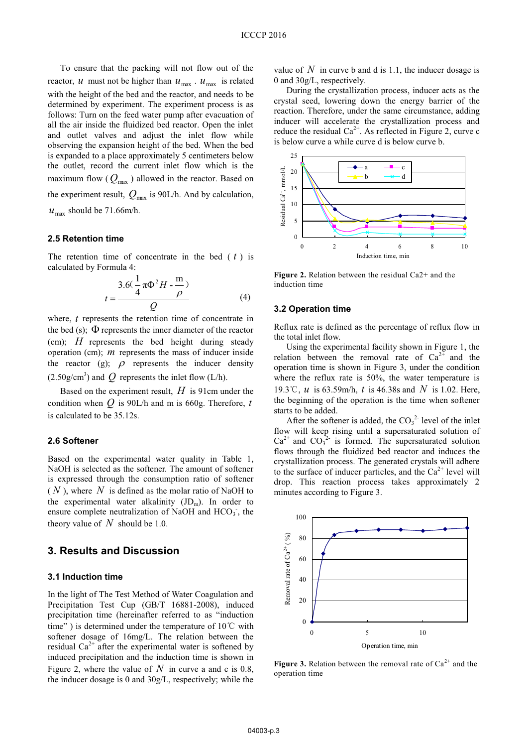To ensure that the packing will not flow out of the reactor, *u* must not be higher than  $u_{\text{max}}$ .  $u_{\text{max}}$  is related with the height of the bed and the reactor, and needs to be determined by experiment. The experiment process is as follows: Turn on the feed water pump after evacuation of all the air inside the fluidized bed reactor. Open the inlet and outlet valves and adjust the inlet flow while observing the expansion height of the bed. When the bed is expanded to a place approximately 5 centimeters below the outlet, record the current inlet flow which is the maximum flow ( $Q_{\text{max}}$ ) allowed in the reactor. Based on the experiment result,  $Q_{\text{max}}$  is 90L/h. And by calculation,  $u_{\text{max}}$  should be 71.66m/h.

#### **2.5 Retention time**

The retention time of concentrate in the bed ( *t* ) is calculated by Formula 4:

$$
t = \frac{3.6(\frac{1}{4}\pi\Phi^2 H - \frac{m}{\rho})}{Q}
$$
 (4)

where, *t* represents the retention time of concentrate in the bed (s);  $\Phi$  represents the inner diameter of the reactor (cm); *H* represents the bed height during steady operation (cm); *m* represents the mass of inducer inside the reactor (g);  $\rho$  represents the inducer density  $(2.50g/cm<sup>3</sup>)$  and  $Q$  represents the inlet flow (L/h).

Based on the experiment result, *H* is 91cm under the condition when *Q* is 90L/h and m is 660g. Therefore, *t* is calculated to be 35.12s.

#### **2.6 Softener**

Based on the experimental water quality in Table 1, NaOH is selected as the softener. The amount of softener is expressed through the consumption ratio of softener ( *N* ), where *N* is defined as the molar ratio of NaOH to the experimental water alkalinity  $(JD<sub>m</sub>)$ . In order to ensure complete neutralization of NaOH and HCO<sub>3</sub>, the theory value of *N* should be 1.0.

### **3. Results and Discussion**

#### **3.1 Induction time**

In the light of The Test Method of Water Coagulation and Precipitation Test Cup (GB/T 16881-2008), induced precipitation time (hereinafter referred to as "induction time" ) is determined under the temperature of  $10^{\circ}$ C with softener dosage of 16mg/L. The relation between the residual  $Ca^{2+}$  after the experimental water is softened by induced precipitation and the induction time is shown in Figure 2, where the value of  $N$  in curve a and c is 0.8, the inducer dosage is 0 and 30g/L, respectively; while the

value of N in curve b and d is 1.1, the inducer dosage is 0 and 30g/L, respectively.

During the crystallization process, inducer acts as the crystal seed, lowering down the energy barrier of the reaction. Therefore, under the same circumstance, adding inducer will accelerate the crystallization process and reduce the residual  $Ca^{2+}$ . As reflected in Figure 2, curve c is below curve a while curve d is below curve b.



**Figure 2.** Relation between the residual Ca2+ and the induction time

### **3.2 Operation time**

Reflux rate is defined as the percentage of reflux flow in the total inlet flow.

Using the experimental facility shown in Figure 1, the relation between the removal rate of  $Ca^{2+}$  and the operation time is shown in Figure 3, under the condition where the reflux rate is 50%, the water temperature is 19.3ć, *u* is 63.59m/h, *t* is 46.38s and *N* is 1.02. Here, the beginning of the operation is the time when softener starts to be added.

After the softener is added, the  $CO<sub>3</sub><sup>2</sup>$  level of the inlet flow will keep rising until a supersaturated solution of  $Ca^{2+}$  and  $CO_3^{2-}$  is formed. The supersaturated solution flows through the fluidized bed reactor and induces the crystallization process. The generated crystals will adhere to the surface of inducer particles, and the  $Ca^{2+}$  level will drop. This reaction process takes approximately 2 minutes according to Figure 3.



**Figure 3.** Relation between the removal rate of  $Ca^{2+}$  and the operation time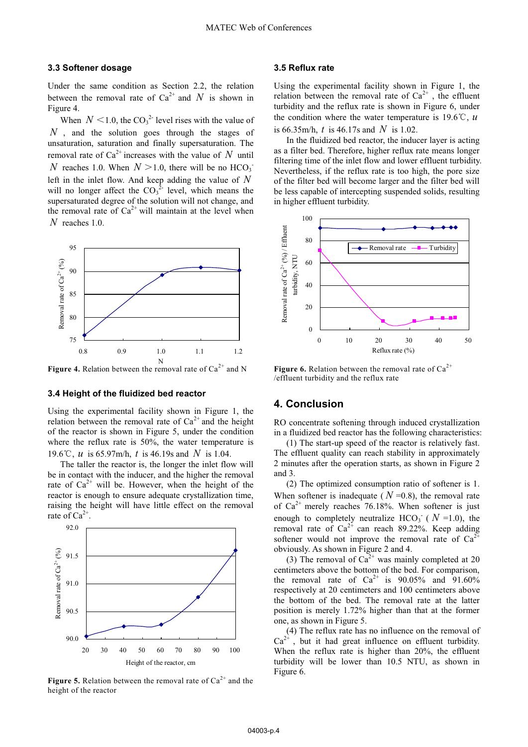#### **3.3 Softener dosage**

Under the same condition as Section 2.2, the relation between the removal rate of  $Ca^{2+}$  and N is shown in Figure 4.

When  $N \leq 1.0$ , the CO<sub>3</sub><sup>2</sup> level rises with the value of *N*, and the solution goes through the stages of unsaturation, saturation and finally supersaturation. The removal rate of  $Ca^{2+}$  increases with the value of *N* until *N* reaches 1.0. When  $N > 1.0$ , there will be no  $HCO<sub>3</sub>$ . left in the inlet flow. And keep adding the value of *N* will no longer affect the  $CO_3^2$  level, which means the supersaturated degree of the solution will not change, and the removal rate of  $Ca^{2+}$  will maintain at the level when *N* reaches 1.0.



**Figure 4.** Relation between the removal rate of  $Ca^{2+}$  and N

### **3.4 Height of the fluidized bed reactor**

Using the experimental facility shown in Figure 1, the relation between the removal rate of  $Ca^{2+}$  and the height of the reactor is shown in Figure 5, under the condition where the reflux rate is 50%, the water temperature is 19.6ć, *u* is 65.97m/h, *t* is 46.19s and *N* is 1.04.

The taller the reactor is, the longer the inlet flow will be in contact with the inducer, and the higher the removal rate of  $Ca^{2+}$  will be. However, when the height of the reactor is enough to ensure adequate crystallization time, raising the height will have little effect on the removal rate of  $Ca^{2+}$ .



**Figure 5.** Relation between the removal rate of  $Ca^{2+}$  and the height of the reactor

### **3.5 Reflux rate**

Using the experimental facility shown in Figure 1, the relation between the removal rate of  $Ca^{2+}$ , the effluent turbidity and the reflux rate is shown in Figure 6, under the condition where the water temperature is  $19.6^{\circ}$ C, *u* is 66.35m/h, *t* is 46.17s and *N* is 1.02.

In the fluidized bed reactor, the inducer layer is acting as a filter bed. Therefore, higher reflux rate means longer filtering time of the inlet flow and lower effluent turbidity. Nevertheless, if the reflux rate is too high, the pore size of the filter bed will become larger and the filter bed will be less capable of intercepting suspended solids, resulting in higher effluent turbidity.



**Figure 6.** Relation between the removal rate of  $Ca^{2+}$ /effluent turbidity and the reflux rate

# **4. Conclusion**

RO concentrate softening through induced crystallization in a fluidized bed reactor has the following characteristics:

(1) The start-up speed of the reactor is relatively fast. The effluent quality can reach stability in approximately 2 minutes after the operation starts, as shown in Figure 2 and 3.

(2) The optimized consumption ratio of softener is 1. When softener is inadequate ( $N = 0.8$ ), the removal rate of  $Ca^{2+}$  merely reaches 76.18%. When softener is just enough to completely neutralize  $HCO_3^-$  ( $N = 1.0$ ), the removal rate of  $Ca^{2+}$  can reach 89.22%. Keep adding softener would not improve the removal rate of  $Ca<sup>2+</sup>$ obviously. As shown in Figure 2 and 4.

(3) The removal of  $Ca^{2+}$  was mainly completed at 20 centimeters above the bottom of the bed. For comparison, the removal rate of  $Ca^{2+}$  is 90.05% and 91.60% respectively at 20 centimeters and 100 centimeters above the bottom of the bed. The removal rate at the latter position is merely 1.72% higher than that at the former one, as shown in Figure 5.

(4) The reflux rate has no influence on the removal of  $Ca^{2+}$ , but it had great influence on effluent turbidity. When the reflux rate is higher than 20%, the effluent turbidity will be lower than 10.5 NTU, as shown in Figure 6.